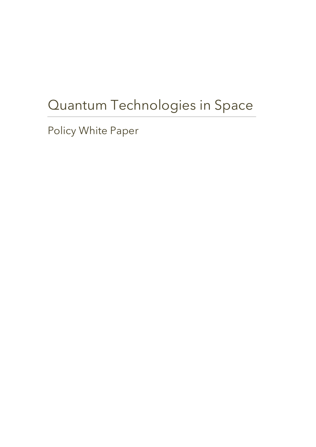# Quantum Technologies in Space

Policy White Paper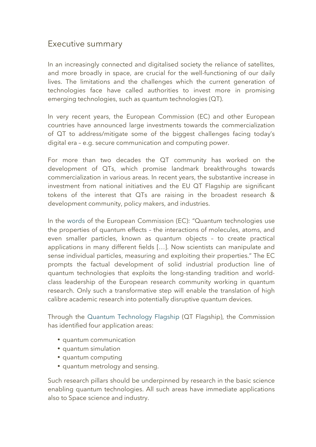### Executive summary

In an increasingly connected and digitalised society the reliance of satellites, and more broadly in space, are crucial for the well-functioning of our daily lives. The limitations and the challenges which the current generation of technologies face have called authorities to invest more in promising emerging technologies, such as quantum technologies (QT).

In very recent years, the European Commission (EC) and other European countries have announced large investments towards the commercialization of QT to address/mitigate some of the biggest challenges facing today's digital era – e.g. secure communication and computing power.

For more than two decades the QT community has worked on the development of QTs, which promise landmark breakthroughs towards commercialization in various areas. In recent years, the substantive increase in investment from national initiatives and the EU QT Flagship are significant tokens of the interest that QTs are raising in the broadest research & development community, policy makers, and industries.

In the words of the European Commission (EC): "Quantum technologies use the properties of quantum effects – the interactions of molecules, atoms, and even smaller particles, known as quantum objects – to create practical applications in many different fields […]. Now scientists can manipulate and sense individual particles, measuring and exploiting their properties." The EC prompts the factual development of solid industrial production line of quantum technologies that exploits the long-standing tradition and worldclass leadership of the European research community working in quantum research. Only such a transformative step will enable the translation of high calibre academic research into potentially disruptive quantum devices.

Through the Quantum Technology Flagship (QT Flagship), the Commission has identified four application areas:

- quantum communication
- quantum simulation
- quantum computing
- quantum metrology and sensing.

Such research pillars should be underpinned by research in the basic science enabling quantum technologies. All such areas have immediate applications also to Space science and industry.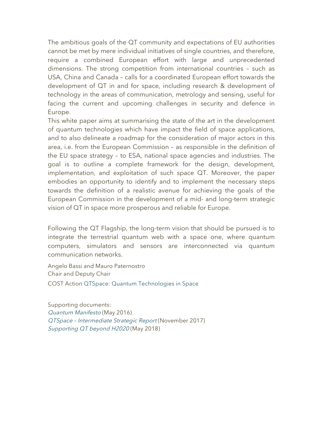The ambitious goals of the QT community and expectations of EU authorities cannot be met by mere individual initiatives of single countries, and therefore, require a combined European effort with large and unprecedented dimensions. The strong competition from international countries – such as USA, China and Canada – calls for a coordinated European effort towards the development of QT in and for space, including research & development of technology in the areas of communication, metrology and sensing, useful for facing the current and upcoming challenges in security and defence in Europe.

This white paper aims at summarising the state of the art in the development of quantum technologies which have impact the field of space applications, and to also delineate a roadmap for the consideration of major actors in this area, i.e. from the European Commission – as responsible in the definition of the EU space strategy – to ESA, national space agencies and industries. The goal is to outline a complete framework for the design, development, implementation, and exploitation of such space QT. Moreover, the paper embodies an opportunity to identify and to implement the necessary steps towards the definition of a realistic avenue for achieving the goals of the European Commission in the development of a mid- and long-term strategic vision of QT in space more prosperous and reliable for Europe.

Following the QT Flagship, the long-term vision that should be pursued is to integrate the terrestrial quantum web with a space one, where quantum computers, simulators and sensors are interconnected via quantum communication networks.

Angelo Bassi and Mauro Paternostro Chair and Deputy Chair COST Action QTSpace: Quantum Technologies in Space

Supporting documents: Quantum Manifesto (May 2016) QTSpace – Intermediate Strategic Report (November 2017) Supporting QT beyond H2020 (May 2018)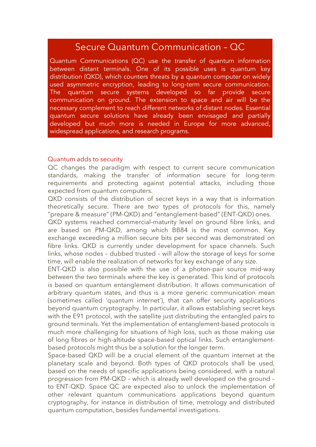# Secure Quantum Communication – QC

Quantum Communications (QC) use the transfer of quantum information between distant terminals. One of its possible uses is quantum key distribution (QKD), which counters threats by a quantum computer on widely used asymmetric encryption, leading to long-term secure communication. The quantum secure systems developed so far provide secure communication on ground. The extension to space and air will be the necessary complement to reach different networks of distant nodes. Essential quantum secure solutions have already been envisaged and partially developed but much more is needed in Europe for more advanced, widespread applications, and research programs.

#### Quantum adds to security

QC changes the paradigm with respect to current secure communication standards, making the transfer of information secure for long-term requirements and protecting against potential attacks, including those expected from quantum computers.

QKD consists of the distribution of secret keys in a way that is information theoretically secure. There are two types of protocols for this, namely "prepare & measure" (PM-QKD) and "entanglement-based" (ENT-QKD) ones.

QKD systems reached commercial-maturity level on ground fibre links, and are based on PM-QKD, among which BB84 is the most common. Key exchange exceeding a million secure bits per second was demonstrated on fibre links. QKD is currently under development for space channels. Such links, whose nodes – dubbed trusted – will allow the storage of keys for some time, will enable the realization of networks for key exchange of any size.

ENT-QKD is also possible with the use of a photon-pair source mid-way between the two terminals where the key is generated. This kind of protocols is based on quantum entanglement distribution. It allows communication of arbitrary quantum states, and thus is a more generic communication mean (sometimes called 'quantum internet'), that can offer security applications beyond quantum cryptography. In particular, it allows establishing secret keys with the E91 protocol, with the satellite just distributing the entangled pairs to ground terminals. Yet the implementation of entanglement-based protocols is much more challenging for situations of high loss, such as those making use of long fibres or high-altitude space-based optical links. Such entanglementbased protocols might thus be a solution for the longer term.

Space-based QKD will be a crucial element of the quantum internet at the planetary scale and beyond. Both types of QKD protocols shall be used, based on the needs of specific applications being considered, with a natural progression from PM-QKD – which is already well developed on the ground – to ENT-QKD. Space QC are expected also to unlock the implementation of other relevant quantum communications applications beyond quantum cryptography, for instance in distribution of time, metrology and distributed quantum computation, besides fundamental investigations.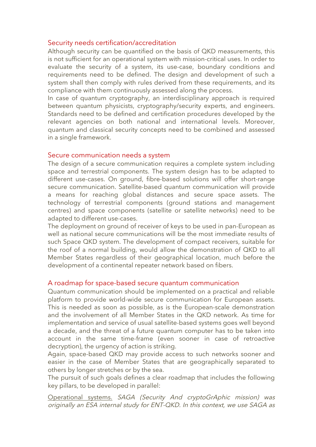#### Security needs certification/accreditation

Although security can be quantified on the basis of QKD measurements, this is not sufficient for an operational system with mission-critical uses. In order to evaluate the security of a system, its use-case, boundary conditions and requirements need to be defined. The design and development of such a system shall then comply with rules derived from these requirements, and its compliance with them continuously assessed along the process.

In case of quantum cryptography, an interdisciplinary approach is required between quantum physicists, cryptography/security experts, and engineers. Standards need to be defined and certification procedures developed by the relevant agencies on both national and international levels. Moreover, quantum and classical security concepts need to be combined and assessed in a single framework.

#### Secure communication needs a system

The design of a secure communication requires a complete system including space and terrestrial components. The system design has to be adapted to different use-cases. On ground, fibre-based solutions will offer short-range secure communication. Satellite-based quantum communication will provide a means for reaching global distances and secure space assets. The technology of terrestrial components (ground stations and management centres) and space components (satellite or satellite networks) need to be adapted to different use-cases.

The deployment on ground of receiver of keys to be used in pan-European as well as national secure communications will be the most immediate results of such Space QKD system. The development of compact receivers, suitable for the roof of a normal building, would allow the demonstration of QKD to all Member States regardless of their geographical location, much before the development of a continental repeater network based on fibers.

#### A roadmap for space-based secure quantum communication

Quantum communication should be implemented on a practical and reliable platform to provide world-wide secure communication for European assets. This is needed as soon as possible, as is the European-scale demonstration and the involvement of all Member States in the QKD network. As time for implementation and service of usual satellite-based systems goes well beyond a decade, and the threat of a future quantum computer has to be taken into account in the same time-frame (even sooner in case of retroactive decryption), the urgency of action is striking.

Again, space-based QKD may provide access to such networks sooner and easier in the case of Member States that are geographically separated to others by longer stretches or by the sea.

The pursuit of such goals defines a clear roadmap that includes the following key pillars, to be developed in parallel:

Operational systems. SAGA (Security And cryptoGrAphic mission) was originally an ESA internal study for ENT-QKD. In this context, we use SAGA as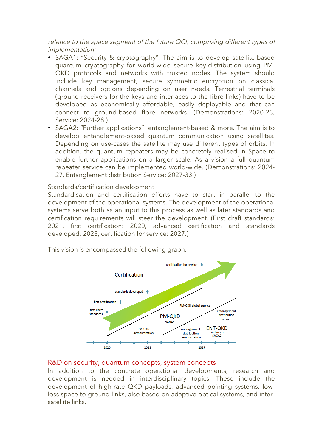refence to the space segment of the future QCI, comprising different types of implementation:

- SAGA1: "Security & cryptography": The aim is to develop satellite-based quantum cryptography for world-wide secure key-distribution using PM-QKD protocols and networks with trusted nodes. The system should include key management, secure symmetric encryption on classical channels and options depending on user needs. Terrestrial terminals (ground receivers for the keys and interfaces to the fibre links) have to be developed as economically affordable, easily deployable and that can connect to ground-based fibre networks. (Demonstrations: 2020-23, Service: 2024-28.)
- SAGA2: "Further applications": entanglement-based & more. The aim is to develop entanglement-based quantum communication using satellites. Depending on use-cases the satellite may use different types of orbits. In addition, the quantum repeaters may be concretely realised in Space to enable further applications on a larger scale. As a vision a full quantum repeater service can be implemented world-wide. (Demonstrations: 2024- 27, Entanglement distribution Service: 2027-33.)

#### Standards/certification development

Standardisation and certification efforts have to start in parallel to the development of the operational systems. The development of the operational systems serve both as an input to this process as well as later standards and certification requirements will steer the development. (First draft standards: 2021, first certification: 2020, advanced certification and standards developed: 2023, certification for service: 2027.)

This vision is encompassed the following graph.



#### R&D on security, quantum concepts, system concepts

In addition to the concrete operational developments, research and development is needed in interdisciplinary topics. These include the development of high-rate QKD payloads, advanced pointing systems, lowloss space-to-ground links, also based on adaptive optical systems, and intersatellite links.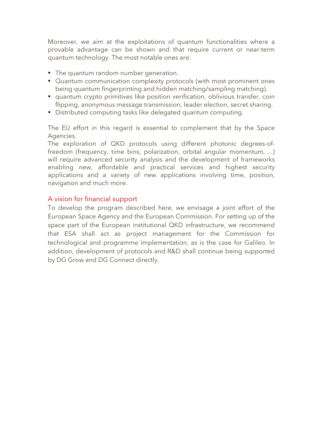Moreover, we aim at the exploitations of quantum functionalities where a provable advantage can be shown and that require current or near-term quantum technology. The most notable ones are:

- The quantum random number generation.
- Quantum communication complexity protocols (with most prominent ones being quantum fingerprinting and hidden matching/sampling matching).
- quantum crypto primitives like position verification, oblivious transfer, coin flipping, anonymous message transmission, leader election, secret sharing.
- Distributed computing tasks like delegated quantum computing.

The EU effort in this regard is essential to complement that by the Space Agencies.

The exploration of QKD protocols using different photonic degrees-offreedom (frequency, time bins, polarization, orbital angular momentum, ...) will require advanced security analysis and the development of frameworks enabling new, affordable and practical services and highest security applications and a variety of new applications involving time, position, navigation and much more.

#### A vision for financial support

To develop the program described here, we envisage a joint effort of the European Space Agency and the European Commission. For setting up of the space part of the European institutional QKD infrastructure, we recommend that ESA shall act as project management for the Commission for technological and programme implementation, as is the case for Galileo. In addition, development of protocols and R&D shall continue being supported by DG Grow and DG Connect directly.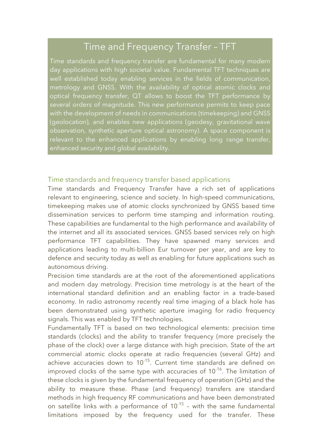# Time and Frequency Transfer – TFT

Time standards and frequency transfer are fundamental for many modern day applications with high societal value. Fundamental TFT techniques are well established today enabling services in the fields of communication, metrology and GNSS. With the availability of optical atomic clocks and optical frequency transfer, QT allows to boost the TFT performance by several orders of magnitude. This new performance permits to keep pace with the development of needs in communications (timekeeping) and GNSS (geolocation), and enables new applications (geodesy, gravitational wave observation, synthetic aperture optical astronomy). A space component is relevant to the enhanced applications by enabling long range transfer, enhanced security and global availability.

#### Time standards and frequency transfer based applications

Time standards and Frequency Transfer have a rich set of applications relevant to engineering, science and society. In high-speed communications, timekeeping makes use of atomic clocks synchronized by GNSS based time dissemination services to perform time stamping and information routing. These capabilities are fundamental to the high performance and availability of the internet and all its associated services. GNSS based services rely on high performance TFT capabilities. They have spawned many services and applications leading to multi-billion Eur turnover per year, and are key to defence and security today as well as enabling for future applications such as autonomous driving.

Precision time standards are at the root of the aforementioned applications and modern day metrology. Precision time metrology is at the heart of the international standard definition and an enabling factor in a trade-based economy. In radio astronomy recently real time imaging of a black hole has been demonstrated using synthetic aperture imaging for radio frequency signals. This was enabled by TFT technologies.

Fundamentally TFT is based on two technological elements: precision time standards (clocks) and the ability to transfer frequency (more precisely the phase of the clock) over a large distance with high precision. State of the art commercial atomic clocks operate at radio frequencies (several GHz) and achieve accuracies down to  $10^{-15}$ . Current time standards are defined on improved clocks of the same type with accuracies of  $10^{-16}$ . The limitation of these clocks is given by the fundamental frequency of operation (GHz) and the ability to measure these. Phase (and frequency) transfers are standard methods in high frequency RF communications and have been demonstrated on satellite links with a performance of  $10^{-15}$  - with the same fundamental limitations imposed by the frequency used for the transfer. These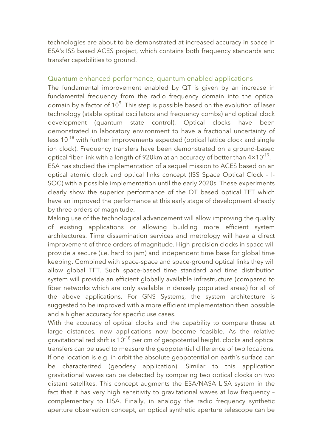technologies are about to be demonstrated at increased accuracy in space in ESA's ISS based ACES project, which contains both frequency standards and transfer capabilities to ground.

#### Quantum enhanced performance, quantum enabled applications

The fundamental improvement enabled by QT is given by an increase in fundamental frequency from the radio frequency domain into the optical domain by a factor of 10 $^5$ . This step is possible based on the evolution of laser technology (stable optical oscillators and frequency combs) and optical clock development (quantum state control). Optical clocks have been demonstrated in laboratory environment to have a fractional uncertainty of less  $10^{-18}$  with further improvements expected (optical lattice clock and single ion clock). Frequency transfers have been demonstrated on a ground-based optical fiber link with a length of 920km at an accuracy of better than  $4 \times 10^{-19}$ . ESA has studied the implementation of a sequel mission to ACES based on an optical atomic clock and optical links concept (ISS Space Optical Clock – I-SOC) with a possible implementation until the early 2020s. These experiments clearly show the superior performance of the QT based optical TFT which have an improved the performance at this early stage of development already by three orders of magnitude.

Making use of the technological advancement will allow improving the quality of existing applications or allowing building more efficient system architectures. Time dissemination services and metrology will have a direct improvement of three orders of magnitude. High precision clocks in space will provide a secure (i.e. hard to jam) and independent time base for global time keeping. Combined with space-space and space-ground optical links they will allow global TFT. Such space-based time standard and time distribution system will provide an efficient globally available infrastructure (compared to fiber networks which are only available in densely populated areas) for all of the above applications. For GNS Systems, the system architecture is suggested to be improved with a more efficient implementation then possible and a higher accuracy for specific use cases.

With the accuracy of optical clocks and the capability to compare these at large distances, new applications now become feasible. As the relative gravitational red shift is  $10^{-18}$  per cm of geopotential height, clocks and optical transfers can be used to measure the geopotential difference of two locations. If one location is e.g. in orbit the absolute geopotential on earth's surface can be characterized (geodesy application). Similar to this application gravitational waves can be detected by comparing two optical clocks on two distant satellites. This concept augments the ESA/NASA LISA system in the fact that it has very high sensitivity to gravitational waves at low frequency – complementary to LISA. Finally, in analogy the radio frequency synthetic aperture observation concept, an optical synthetic aperture telescope can be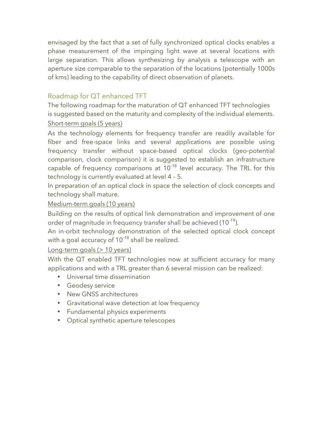envisaged by the fact that a set of fully synchronized optical clocks enables a phase measurement of the impinging light wave at several locations with large separation. This allows synthesizing by analysis a telescope with an aperture size comparable to the separation of the locations (potentially 1000s of kms) leading to the capability of direct observation of planets.

### Roadmap for QT enhanced TFT

The following roadmap for the maturation of QT enhanced TFT technologies is suggested based on the maturity and complexity of the individual elements. Short-term goals (5 years)

As the technology elements for frequency transfer are readily available for fiber and free-space links and several applications are possible using frequency transfer without space-based optical clocks (geo-potential comparison, clock comparison) it is suggested to establish an infrastructure capable of frequency comparisons at  $10^{-18}$  level accuracy. The TRL for this technology is currently evaluated at level 4 – 5.

In preparation of an optical clock in space the selection of clock concepts and technology shall mature.

#### Medium-term goals (10 years)

Building on the results of optical link demonstration and improvement of one order of magnitude in frequency transfer shall be achieved (10<sup>-19</sup>).

An in-orbit technology demonstration of the selected optical clock concept with a goal accuracy of  $10^{-18}$  shall be realized.

#### Long-term goals (> 10 years)

With the QT enabled TFT technologies now at sufficient accuracy for many applications and with a TRL greater than 6 several mission can be realized:

- Universal time dissemination
- Geodesy service
- New GNSS architectures
- Gravitational wave detection at low frequency
- Fundamental physics experiments
- Optical synthetic aperture telescopes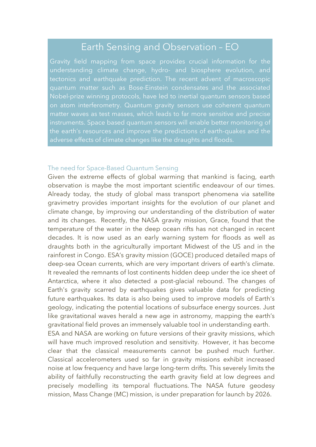# Earth Sensing and Observation – EO

Gravity field mapping from space provides crucial information for the understanding climate change, hydro- and biosphere evolution, and tectonics and earthquake prediction. The recent advent of macroscopic quantum matter such as Bose-Einstein condensates and the associated on atom interferometry. Quantum gravity sensors use coherent quantum matter waves as test masses, which leads to far more sensitive and precise instruments. Space based quantum sensors will enable better monitoring of the earth's resources and improve the predictions of earth-quakes and the adverse effects of climate changes like the draughts and floods.

#### The need for Space-Based Quantum Sensing

Given the extreme effects of global warming that mankind is facing, earth observation is maybe the most important scientific endeavour of our times. Already today, the study of global mass transport phenomena via satellite gravimetry provides important insights for the evolution of our planet and climate change, by improving our understanding of the distribution of water and its changes. Recently, the NASA gravity mission, Grace, found that the temperature of the water in the deep ocean rifts has not changed in recent decades. It is now used as an early warning system for floods as well as draughts both in the agriculturally important Midwest of the US and in the rainforest in Congo. ESA's gravity mission (GOCE) produced detailed maps of deep-sea Ocean currents, which are very important drivers of earth's climate. It revealed the remnants of lost continents hidden deep under the ice sheet of Antarctica, where it also detected a post-glacial rebound. The changes of Earth's gravity scarred by earthquakes gives valuable data for predicting future earthquakes. Its data is also being used to improve models of Earth's geology, indicating the potential locations of subsurface energy sources. Just like gravitational waves herald a new age in astronomy, mapping the earth's gravitational field proves an immensely valuable tool in understanding earth.

ESA and NASA are working on future versions of their gravity missions, which will have much improved resolution and sensitivity. However, it has become clear that the classical measurements cannot be pushed much further. Classical accelerometers used so far in gravity missions exhibit increased noise at low frequency and have large long-term drifts. This severely limits the ability of faithfully reconstructing the earth gravity field at low degrees and precisely modelling its temporal fluctuations. The NASA future geodesy mission, Mass Change (MC) mission, is under preparation for launch by 2026.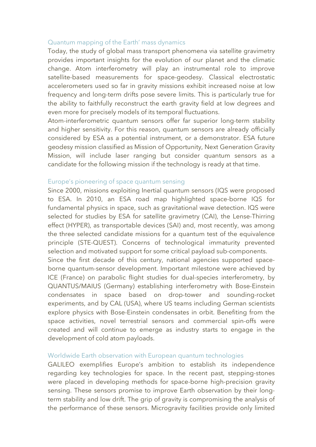#### Quantum mapping of the Earth' mass dynamics

Today, the study of global mass transport phenomena via satellite gravimetry provides important insights for the evolution of our planet and the climatic change. Atom interferometry will play an instrumental role to improve satellite-based measurements for space-geodesy. Classical electrostatic accelerometers used so far in gravity missions exhibit increased noise at low frequency and long-term drifts pose severe limits. This is particularly true for the ability to faithfully reconstruct the earth gravity field at low degrees and even more for precisely models of its temporal fluctuations.

Atom-interferometric quantum sensors offer far superior long-term stability and higher sensitivity. For this reason, quantum sensors are already officially considered by ESA as a potential instrument, or a demonstrator. ESA future geodesy mission classified as Mission of Opportunity, Next Generation Gravity Mission, will include laser ranging but consider quantum sensors as a candidate for the following mission if the technology is ready at that time.

#### Europe's pioneering of space quantum sensing

Since 2000, missions exploiting Inertial quantum sensors (IQS were proposed to ESA. In 2010, an ESA road map highlighted space-borne IQS for fundamental physics in space, such as gravitational wave detection. IQS were selected for studies by ESA for satellite gravimetry (CAI), the Lense-Thirring effect (HYPER), as transportable devices (SAI) and, most recently, was among the three selected candidate missions for a quantum test of the equivalence principle (STE-QUEST). Concerns of technological immaturity prevented selection and motivated support for some critical payload sub-components.

Since the first decade of this century, national agencies supported spaceborne quantum-sensor development. Important milestone were achieved by ICE (France) on parabolic flight studies for dual-species interferometry, by QUANTUS/MAIUS (Germany) establishing interferometry with Bose-Einstein condensates in space based on drop-tower and sounding-rocket experiments, and by CAL (USA), where US teams including German scientists explore physics with Bose-Einstein condensates in orbit. Benefiting from the space activities, novel terrestrial sensors and commercial spin-offs were created and will continue to emerge as industry starts to engage in the development of cold atom payloads.

#### Worldwide Earth observation with European quantum technologies

GALILEO exemplifies Europe's ambition to establish its independence regarding key technologies for space. In the recent past, stepping-stones were placed in developing methods for space-borne high-precision gravity sensing. These sensors promise to improve Earth observation by their longterm stability and low drift. The grip of gravity is compromising the analysis of the performance of these sensors. Microgravity facilities provide only limited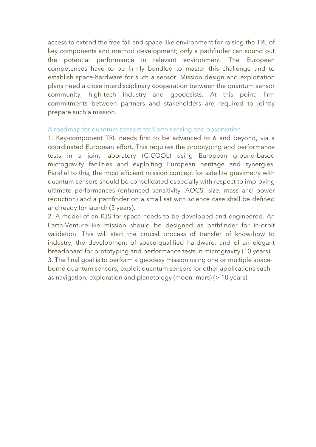access to extend the free fall and space-like environment for raising the TRL of key components and method development; only a pathfinder can sound out the potential performance in relevant environment. The European competences have to be firmly bundled to master this challenge and to establish space-hardware for such a sensor. Mission design and exploitation plans need a close interdisciplinary cooperation between the quantum sensor community, high-tech industry and geodesists. At this point, firm commitments between partners and stakeholders are required to jointly prepare such a mission.

#### A roadmap for quantum sensors for Earth sensing and observation

1. Key-component TRL needs first to be advanced to 6 and beyond, via a coordinated European effort. This requires the prototyping and performance tests in a joint laboratory (C-COOL) using European ground-based microgravity facilities and exploiting European heritage and synergies. Parallel to this, the most efficient mission concept for satellite gravimetry with quantum sensors should be consolidated especially with respect to improving ultimate performances (enhanced sensitivity, AOCS, size, mass and power reduction) and a pathfinder on a small sat with science case shall be defined and ready for launch (5 years).

2. A model of an IQS for space needs to be developed and engineered. An Earth-Venture-like mission should be designed as pathfinder for in-orbit validation. This will start the crucial process of transfer of know-how to industry, the development of space-qualified hardware, and of an elegant breadboard for prototyping and performance tests in microgravity (10 years). 3. The final goal is to perform a geodesy mission using one or multiple spaceborne quantum sensors; exploit quantum sensors for other applications such

as navigation, exploration and planetology (moon, mars) (> 10 years).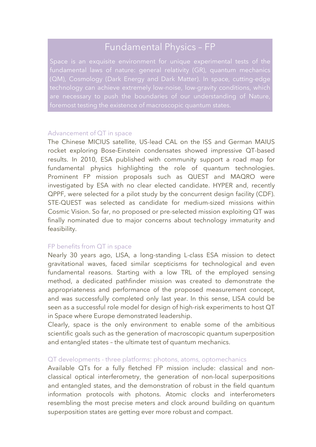# Fundamental Physics – FP

(QM), Cosmology (Dark Energy and Dark Matter). In space, cutting-edge

#### Advancement of QT in space

The Chinese MICIUS satellite, US-lead CAL on the ISS and German MAIUS rocket exploring Bose-Einstein condensates showed impressive QT-based results. In 2010, ESA published with community support a road map for fundamental physics highlighting the role of quantum technologies. Prominent FP mission proposals such as QUEST and MAQRO were investigated by ESA with no clear elected candidate. HYPER and, recently QPPF, were selected for a pilot study by the concurrent design facility (CDF). STE-QUEST was selected as candidate for medium-sized missions within Cosmic Vision. So far, no proposed or pre-selected mission exploiting QT was finally nominated due to major concerns about technology immaturity and feasibility.

#### FP benefits from QT in space

Nearly 30 years ago, LISA, a long-standing L-class ESA mission to detect gravitational waves, faced similar scepticisms for technological and even fundamental reasons. Starting with a low TRL of the employed sensing method, a dedicated pathfinder mission was created to demonstrate the appropriateness and performance of the proposed measurement concept, and was successfully completed only last year. In this sense, LISA could be seen as a successful role model for design of high-risk experiments to host QT in Space where Europe demonstrated leadership.

Clearly, space is the only environment to enable some of the ambitious scientific goals such as the generation of macroscopic quantum superposition and entangled states – the ultimate test of quantum mechanics.

#### QT developments - three platforms: photons, atoms, optomechanics

Available QTs for a fully fletched FP mission include: classical and nonclassical optical interferometry, the generation of non-local superpositions and entangled states, and the demonstration of robust in the field quantum information protocols with photons. Atomic clocks and interferometers resembling the most precise meters and clock around building on quantum superposition states are getting ever more robust and compact.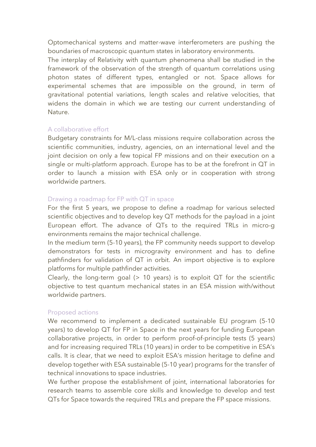Optomechanical systems and matter-wave interferometers are pushing the boundaries of macroscopic quantum states in laboratory environments.

The interplay of Relativity with quantum phenomena shall be studied in the framework of the observation of the strength of quantum correlations using photon states of different types, entangled or not. Space allows for experimental schemes that are impossible on the ground, in term of gravitational potential variations, length scales and relative velocities, that widens the domain in which we are testing our current understanding of Nature.

#### A collaborative effort

Budgetary constraints for M/L-class missions require collaboration across the scientific communities, industry, agencies, on an international level and the joint decision on only a few topical FP missions and on their execution on a single or multi-platform approach. Europe has to be at the forefront in QT in order to launch a mission with ESA only or in cooperation with strong worldwide partners.

#### Drawing a roadmap for FP with QT in space

For the first 5 years, we propose to define a roadmap for various selected scientific objectives and to develop key QT methods for the payload in a joint European effort. The advance of QTs to the required TRLs in micro-g environments remains the major technical challenge.

In the medium term (5-10 years), the FP community needs support to develop demonstrators for tests in microgravity environment and has to define pathfinders for validation of QT in orbit. An import objective is to explore platforms for multiple pathfinder activities.

Clearly, the long-term goal  $(> 10$  years) is to exploit QT for the scientific objective to test quantum mechanical states in an ESA mission with/without worldwide partners.

#### Proposed actions

We recommend to implement a dedicated sustainable EU program (5-10 years) to develop QT for FP in Space in the next years for funding European collaborative projects, in order to perform proof-of-principle tests (5 years) and for increasing required TRLs (10 years) in order to be competitive in ESA's calls. It is clear, that we need to exploit ESA's mission heritage to define and develop together with ESA sustainable (5-10 year) programs for the transfer of technical innovations to space industries.

We further propose the establishment of joint, international laboratories for research teams to assemble core skills and knowledge to develop and test QTs for Space towards the required TRLs and prepare the FP space missions.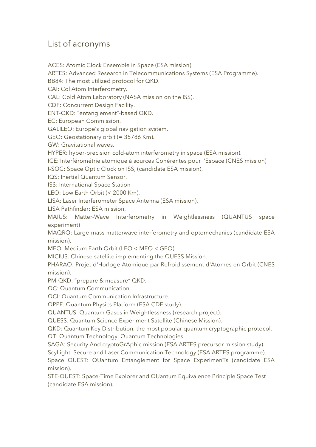### List of acronyms

ACES: Atomic Clock Ensemble in Space (ESA mission).

ARTES: Advanced Research in Telecommunications Systems (ESA Programme).

BB84: The most utilized protocol for QKD.

CAI: Col Atom Interferometry.

CAL: Cold Atom Laboratory (NASA mission on the ISS).

CDF: Concurrent Design Facility.

ENT-QKD: "entanglement"-based QKD.

EC: European Commission.

GALILEO: Europe's global navigation system.

GEO: Geostationary orbit (= 35786 Km).

GW: Gravitational waves.

HYPER: hyper-precision cold-atom interferometry in space (ESA mission).

ICE: Interférométrie atomique à sources Cohérentes pour l'Espace (CNES mission)

I-SOC: Space Optic Clock on ISS, (candidate ESA mission).

IQS: Inertial Quantum Sensor.

ISS: International Space Station

LEO: Low Earth Orbit (< 2000 Km).

LISA: Laser Interferometer Space Antenna (ESA mission).

LISA Pathfinder: ESA mission.

MAIUS: Matter-Wave Interferometry in Weightlessness (QUANTUS space experiment)

MAQRO: Large-mass matterwave interferometry and optomechanics (candidate ESA mission).

MEO: Medium Earth Orbit (LEO < MEO < GEO).

MICIUS: Chinese satellite implementing the QUESS Mission.

PHARAO: Projet d'Horloge Atomique par Refroidissement d'Atomes en Orbit (CNES mission).

PM-QKD: "prepare & measure" QKD.

QC: Quantum Communication.

QCI: Quantum Communication Infrastructure.

QPPF: Quantum Physics Platform (ESA CDF study).

QUANTUS: Quantum Gases in Weightlessness (research project).

QUESS: Quantum Science Experiment Satellite (Chinese Mission).

QKD: Quantum Key Distribution, the most popular quantum cryptographic protocol. QT: Quantum Technology, Quantum Technologies.

SAGA: Security And cryptoGrAphic mission (ESA ARTES precursor mission study).

ScyLight: Secure and Laser Communication Technology (ESA ARTES programme). Space QUEST: QUantum Entanglement for Space ExperimenTs (candidate ESA mission).

STE-QUEST: Space-Time Explorer and QUantum Equivalence Principle Space Test (candidate ESA mission).